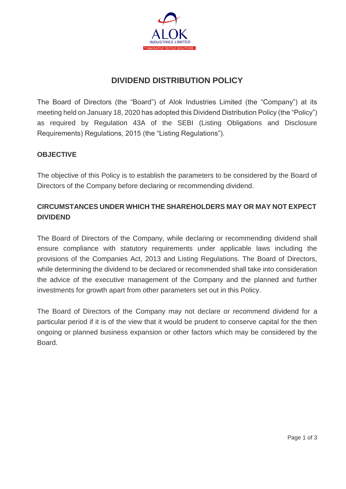

# **DIVIDEND DISTRIBUTION POLICY**

The Board of Directors (the "Board") of Alok Industries Limited (the "Company") at its meeting held on January 18, 2020 has adopted this Dividend Distribution Policy (the "Policy") as required by Regulation 43A of the SEBI (Listing Obligations and Disclosure Requirements) Regulations, 2015 (the "Listing Regulations").

### **OBJECTIVE**

The objective of this Policy is to establish the parameters to be considered by the Board of Directors of the Company before declaring or recommending dividend.

## **CIRCUMSTANCES UNDER WHICH THE SHAREHOLDERS MAY OR MAY NOT EXPECT DIVIDEND**

The Board of Directors of the Company, while declaring or recommending dividend shall ensure compliance with statutory requirements under applicable laws including the provisions of the Companies Act, 2013 and Listing Regulations. The Board of Directors, while determining the dividend to be declared or recommended shall take into consideration the advice of the executive management of the Company and the planned and further investments for growth apart from other parameters set out in this Policy.

The Board of Directors of the Company may not declare or recommend dividend for a particular period if it is of the view that it would be prudent to conserve capital for the then ongoing or planned business expansion or other factors which may be considered by the **Board**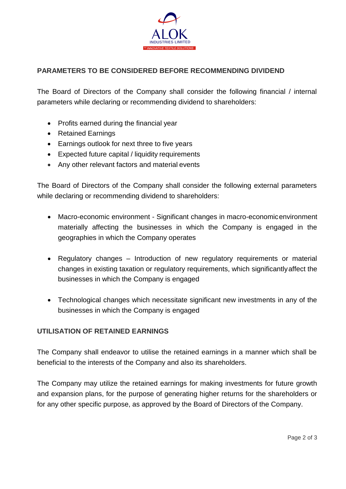

## **PARAMETERS TO BE CONSIDERED BEFORE RECOMMENDING DIVIDEND**

The Board of Directors of the Company shall consider the following financial / internal parameters while declaring or recommending dividend to shareholders:

- Profits earned during the financial year
- Retained Earnings
- Earnings outlook for next three to five years
- Expected future capital / liquidity requirements
- Any other relevant factors and material events

The Board of Directors of the Company shall consider the following external parameters while declaring or recommending dividend to shareholders:

- Macro-economic environment Significant changes in macro-economicenvironment materially affecting the businesses in which the Company is engaged in the geographies in which the Company operates
- Regulatory changes Introduction of new regulatory requirements or material changes in existing taxation or regulatory requirements, which significantlyaffect the businesses in which the Company is engaged
- Technological changes which necessitate significant new investments in any of the businesses in which the Company is engaged

### **UTILISATION OF RETAINED EARNINGS**

The Company shall endeavor to utilise the retained earnings in a manner which shall be beneficial to the interests of the Company and also its shareholders.

The Company may utilize the retained earnings for making investments for future growth and expansion plans, for the purpose of generating higher returns for the shareholders or for any other specific purpose, as approved by the Board of Directors of the Company.